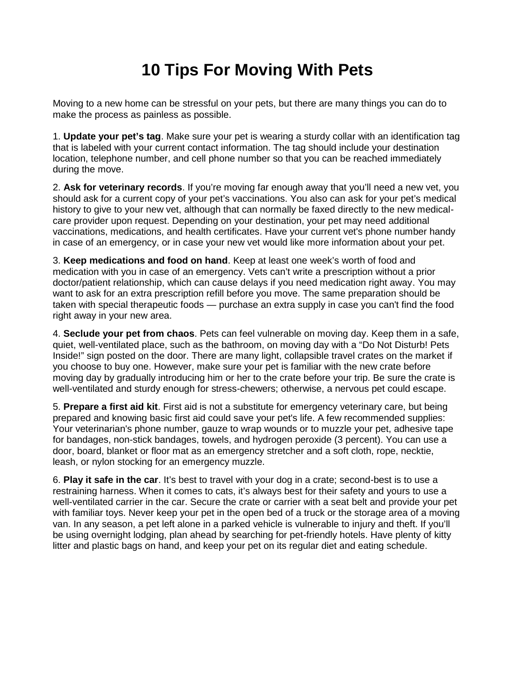## **10 Tips For Moving With Pets**

Moving to a new home can be stressful on your pets, but there are many things you can do to make the process as painless as possible.

1. **Update your pet's tag**. Make sure your pet is wearing a sturdy collar with an identification tag that is labeled with your current contact information. The tag should include your destination location, telephone number, and cell phone number so that you can be reached immediately during the move.

2. **Ask for veterinary records**. If you're moving far enough away that you'll need a new vet, you should ask for a current copy of your pet's vaccinations. You also can ask for your pet's medical history to give to your new vet, although that can normally be faxed directly to the new medicalcare provider upon request. Depending on your destination, your pet may need additional vaccinations, medications, and health certificates. Have your current vet's phone number handy in case of an emergency, or in case your new vet would like more information about your pet.

3. **Keep medications and food on hand**. Keep at least one week's worth of food and medication with you in case of an emergency. Vets can't write a prescription without a prior doctor/patient relationship, which can cause delays if you need medication right away. You may want to ask for an extra prescription refill before you move. The same preparation should be taken with special therapeutic foods — purchase an extra supply in case you can't find the food right away in your new area.

4. **Seclude your pet from chaos**. Pets can feel vulnerable on moving day. Keep them in a safe, quiet, well-ventilated place, such as the bathroom, on moving day with a "Do Not Disturb! Pets Inside!" sign posted on the door. There are many light, collapsible travel crates on the market if you choose to buy one. However, make sure your pet is familiar with the new crate before moving day by gradually introducing him or her to the crate before your trip. Be sure the crate is well-ventilated and sturdy enough for stress-chewers; otherwise, a nervous pet could escape.

5. **Prepare a first aid kit**. First aid is not a substitute for emergency veterinary care, but being prepared and knowing basic first aid could save your pet's life. A few recommended supplies: Your veterinarian's phone number, gauze to wrap wounds or to muzzle your pet, adhesive tape for bandages, non-stick bandages, towels, and hydrogen peroxide (3 percent). You can use a door, board, blanket or floor mat as an emergency stretcher and a soft cloth, rope, necktie, leash, or nylon stocking for an emergency muzzle.

6. **Play it safe in the car**. It's best to travel with your dog in a crate; second-best is to use a restraining harness. When it comes to cats, it's always best for their safety and yours to use a well-ventilated carrier in the car. Secure the crate or carrier with a seat belt and provide your pet with familiar toys. Never keep your pet in the open bed of a truck or the storage area of a moving van. In any season, a pet left alone in a parked vehicle is vulnerable to injury and theft. If you'll be using overnight lodging, plan ahead by searching for pet-friendly hotels. Have plenty of kitty litter and plastic bags on hand, and keep your pet on its regular diet and eating schedule.